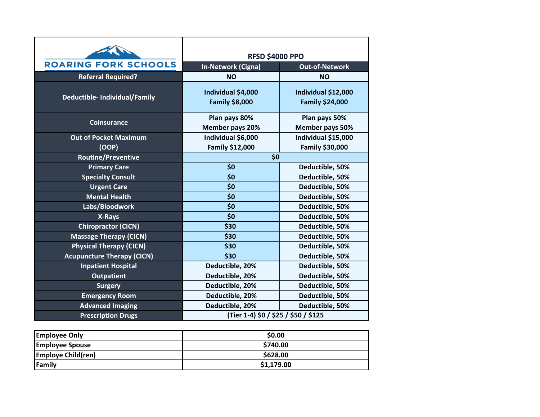|                                      | <b>RFSD \$4000 PPO</b>                      |                                               |
|--------------------------------------|---------------------------------------------|-----------------------------------------------|
| <b>ROARING FORK SCHOOLS</b>          | <b>In-Network (Cigna)</b>                   | <b>Out-of-Network</b>                         |
| <b>Referral Required?</b>            | <b>NO</b>                                   | <b>NO</b>                                     |
| <b>Deductible- Individual/Family</b> | Individual \$4,000<br><b>Family \$8,000</b> | Individual \$12,000<br><b>Family \$24,000</b> |
| <b>Coinsurance</b>                   | Plan pays 80%                               | Plan pays 50%                                 |
|                                      | Member pays 20%                             | Member pays 50%                               |
| <b>Out of Pocket Maximum</b>         | Individual \$6,000                          | Individual \$15,000                           |
| (OOP)                                | Family \$12,000                             | Family \$30,000                               |
| <b>Routine/Preventive</b>            | \$0                                         |                                               |
| <b>Primary Care</b>                  | \$0                                         | Deductible, 50%                               |
| <b>Specialty Consult</b>             | \$0                                         | Deductible, 50%                               |
| <b>Urgent Care</b>                   | \$0                                         | Deductible, 50%                               |
| <b>Mental Health</b>                 | \$0                                         | Deductible, 50%                               |
| Labs/Bloodwork                       | \$0                                         | Deductible, 50%                               |
| X-Rays                               | \$0                                         | Deductible, 50%                               |
| <b>Chiropractor (CICN)</b>           | \$30                                        | Deductible, 50%                               |
| <b>Massage Therapy (CICN)</b>        | \$30                                        | Deductible, 50%                               |
| <b>Physical Therapy (CICN)</b>       | \$30                                        | Deductible, 50%                               |
| <b>Acupuncture Therapy (CICN)</b>    | \$30                                        | Deductible, 50%                               |
| <b>Inpatient Hospital</b>            | Deductible, 20%                             | Deductible, 50%                               |
| <b>Outpatient</b>                    | Deductible, 20%                             | Deductible, 50%                               |
| <b>Surgery</b>                       | Deductible, 20%                             | Deductible, 50%                               |
| <b>Emergency Room</b>                | Deductible, 20%                             | Deductible, 50%                               |
| <b>Advanced Imaging</b>              | Deductible, 20%                             | Deductible, 50%                               |
| <b>Prescription Drugs</b>            | (Tier 1-4) \$0 / \$25 / \$50 / \$125        |                                               |

| <b>Employee Only</b>      | \$0.00     |
|---------------------------|------------|
| <b>Employee Spouse</b>    | \$740.00   |
| <b>Employe Child(ren)</b> | \$628.00   |
| Family                    | \$1,179.00 |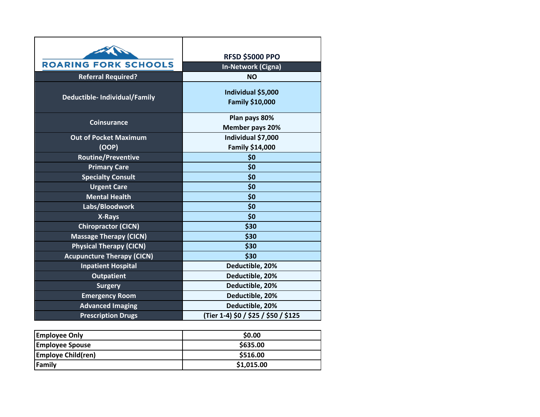| <b>ROARING FORK SCHOOLS</b><br><b>Referral Required?</b> | <b>RFSD \$5000 PPO</b><br>In-Network (Cigna)<br><b>NO</b> |
|----------------------------------------------------------|-----------------------------------------------------------|
| <b>Deductible- Individual/Family</b>                     | Individual \$5,000<br><b>Family \$10,000</b>              |
| Coinsurance                                              | Plan pays 80%<br>Member pays 20%                          |
| <b>Out of Pocket Maximum</b><br>(OOP)                    | Individual \$7,000<br>Family \$14,000                     |
| <b>Routine/Preventive</b>                                | \$0                                                       |
| <b>Primary Care</b>                                      | \$0                                                       |
| <b>Specialty Consult</b>                                 | \$0                                                       |
| <b>Urgent Care</b>                                       | \$0                                                       |
| <b>Mental Health</b>                                     | \$0                                                       |
| Labs/Bloodwork                                           | \$0                                                       |
| X-Rays                                                   | \$0                                                       |
| <b>Chiropractor (CICN)</b>                               | \$30                                                      |
| <b>Massage Therapy (CICN)</b>                            | \$30                                                      |
| <b>Physical Therapy (CICN)</b>                           | \$30                                                      |
| <b>Acupuncture Therapy (CICN)</b>                        | \$30                                                      |
| <b>Inpatient Hospital</b>                                | Deductible, 20%                                           |
| <b>Outpatient</b>                                        | Deductible, 20%                                           |
| <b>Surgery</b>                                           | Deductible, 20%                                           |
| <b>Emergency Room</b>                                    | Deductible, 20%                                           |
| <b>Advanced Imaging</b>                                  | Deductible, 20%                                           |
| <b>Prescription Drugs</b>                                | (Tier 1-4) \$0 / \$25 / \$50 / \$125                      |

| <b>Employee Only</b>      | \$0.00     |
|---------------------------|------------|
| <b>Employee Spouse</b>    | \$635.00   |
| <b>Employe Child(ren)</b> | \$516.00   |
| Family                    | \$1,015.00 |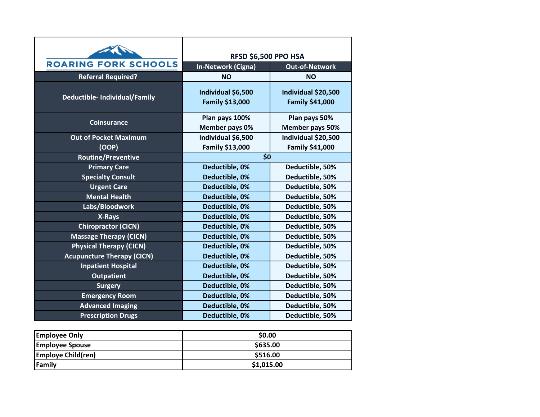| <b>ROARING FORK SCHOOLS</b>          | <b>RFSD \$6,500 PPO HSA</b>                  |                                               |
|--------------------------------------|----------------------------------------------|-----------------------------------------------|
|                                      | <b>In-Network (Cigna)</b>                    | <b>Out-of-Network</b>                         |
| <b>Referral Required?</b>            | <b>NO</b>                                    | <b>NO</b>                                     |
| <b>Deductible- Individual/Family</b> | Individual \$6,500<br><b>Family \$13,000</b> | Individual \$20,500<br><b>Family \$41,000</b> |
| <b>Coinsurance</b>                   | Plan pays 100%                               | Plan pays 50%                                 |
|                                      | Member pays 0%                               | Member pays 50%                               |
| <b>Out of Pocket Maximum</b>         | Individual \$6,500                           | Individual \$20,500                           |
| (OOP)                                | Family \$13,000                              | Family \$41,000                               |
| <b>Routine/Preventive</b>            | \$0                                          |                                               |
| <b>Primary Care</b>                  | Deductible, 0%                               | Deductible, 50%                               |
| <b>Specialty Consult</b>             | Deductible, 0%                               | Deductible, 50%                               |
| <b>Urgent Care</b>                   | Deductible, 0%                               | Deductible, 50%                               |
| <b>Mental Health</b>                 | Deductible, 0%                               | Deductible, 50%                               |
| Labs/Bloodwork                       | Deductible, 0%                               | Deductible, 50%                               |
| X-Rays                               | Deductible, 0%                               | Deductible, 50%                               |
| <b>Chiropractor (CICN)</b>           | Deductible, 0%                               | Deductible, 50%                               |
| <b>Massage Therapy (CICN)</b>        | Deductible, 0%                               | Deductible, 50%                               |
| <b>Physical Therapy (CICN)</b>       | Deductible, 0%                               | Deductible, 50%                               |
| <b>Acupuncture Therapy (CICN)</b>    | Deductible, 0%                               | Deductible, 50%                               |
| <b>Inpatient Hospital</b>            | Deductible, 0%                               | Deductible, 50%                               |
| <b>Outpatient</b>                    | Deductible, 0%                               | Deductible, 50%                               |
| <b>Surgery</b>                       | Deductible, 0%                               | Deductible, 50%                               |
| <b>Emergency Room</b>                | Deductible, 0%                               | Deductible, 50%                               |
| <b>Advanced Imaging</b>              | Deductible, 0%                               | Deductible, 50%                               |
| <b>Prescription Drugs</b>            | Deductible, 0%                               | Deductible, 50%                               |

| <b>Employee Only</b>      | \$0.00     |
|---------------------------|------------|
| <b>Employee Spouse</b>    | \$635.00   |
| <b>Employe Child(ren)</b> | \$516.00   |
| Family                    | \$1,015.00 |